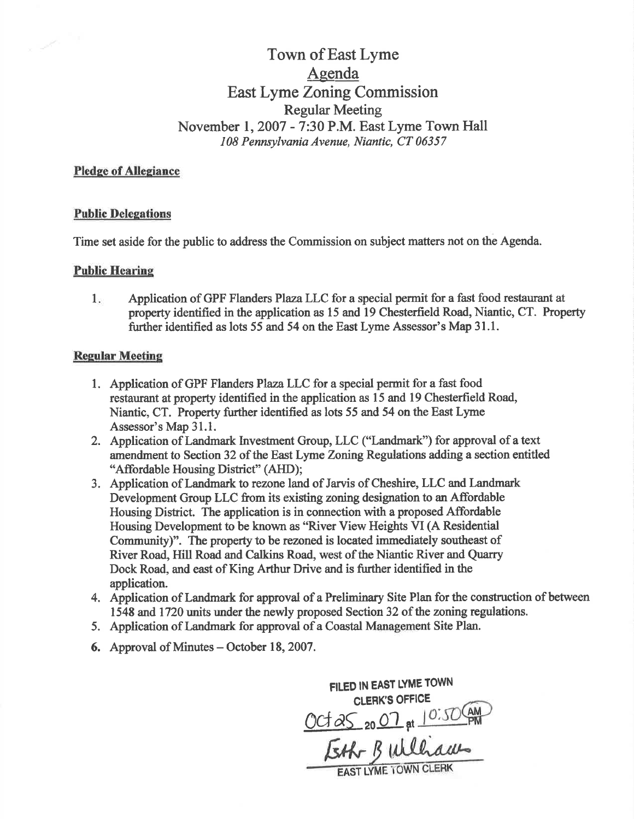# Town of East Lyme Agenda East Lyme Zoning Commission **Regular Meeting** November 1, 2007 - 7:30 P.M. East Lyme Town Hall 108 Pennsylvania Avenue, Niantic, CT 06357

### **Pledge of Allegiance**

#### **Public Delegations**

Time set aside for the public to address the Commission on subject matters not on the Agenda.

#### **Public Hearing**

Application of GPF Flanders Plaza LLC for a special permit for a fast food restaurant at  $1.$ property identified in the application as 15 and 19 Chesterfield Road, Niantic, CT. Property further identified as lots 55 and 54 on the East Lyme Assessor's Map 31.1.

#### **Regular Meeting**

- 1. Application of GPF Flanders Plaza LLC for a special permit for a fast food restaurant at property identified in the application as 15 and 19 Chesterfield Road, Niantic, CT. Property further identified as lots 55 and 54 on the East Lyme Assessor's Map 31.1.
- 2. Application of Landmark Investment Group, LLC ("Landmark") for approval of a text amendment to Section 32 of the East Lyme Zoning Regulations adding a section entitled "Affordable Housing District" (AHD);
- 3. Application of Landmark to rezone land of Jarvis of Cheshire, LLC and Landmark Development Group LLC from its existing zoning designation to an Affordable Housing District. The application is in connection with a proposed Affordable Housing Development to be known as "River View Heights VI (A Residential Community)". The property to be rezoned is located immediately southeast of River Road, Hill Road and Calkins Road, west of the Niantic River and Quarry Dock Road, and east of King Arthur Drive and is further identified in the application.
- 4. Application of Landmark for approval of a Preliminary Site Plan for the construction of between 1548 and 1720 units under the newly proposed Section 32 of the zoning regulations.
- 5. Application of Landmark for approval of a Coastal Management Site Plan.
- **6.** Approval of Minutes October 18, 2007.

FILED IN EAST LYME TOWN CLERK'S OFFICE Oct as 2007 at 10:50 CAM Esth Builliam